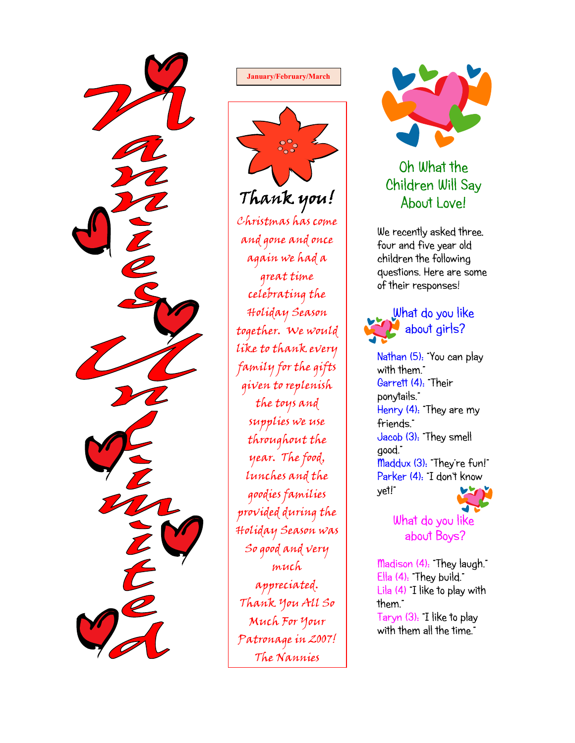#### January/February/March



Thank you!

Christmas has come and gone and once again we had a great time celebrating the Holiday Season together. We would like to thank every family for the gifts given to replenish the toys and supplies we use throughout the year. The food, lunches and the goodies families provided during the Holiday Season was So good and very much appreciated. Thank You All So Much For Your Patronage in 2007! The Nannies



# Oh What the Children Will Say About Love!

We recently asked three, four and five year old children the following questions. Here are some of their responses!

# What do you like about girls?

Nathan (5): "You can play with them." Garrett (4): Their ponytails." Henry (4): "They are my friends." Jacob (3): "They smell good." Maddux (3): "They're fun!" Parker (4): "I don't know yet!"

> What do you like about Boys?

Madison (4): "They laugh." Ella  $(4)$ : They build." Lila (4) "I like to play with them." Taryn (3): "I like to play with them all the time."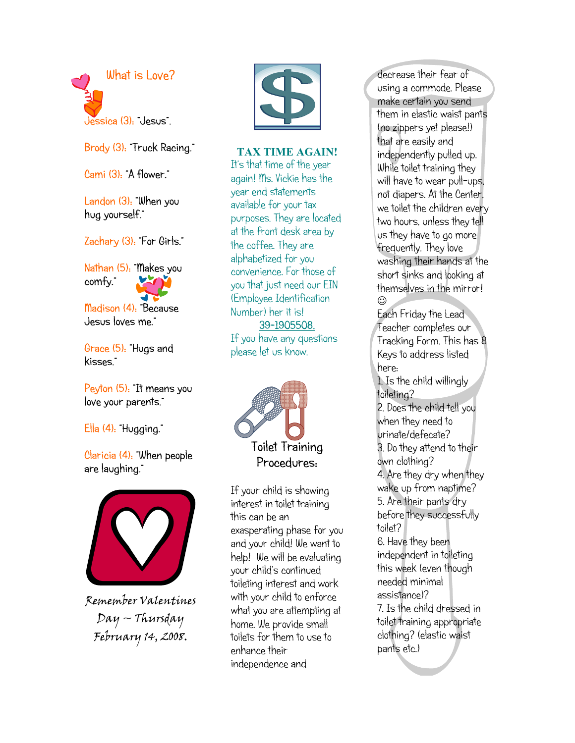

Brody (3): "Truck Racing."

Cami (3): "A flower."

Landon (3): "When you hug yourself."

Zachary (3): "For Girls."

Nathan (5): "Makes you comfy." Madison (4): "Because

Jesus loves me."

Grace (5): "Hugs and kisses."

Peyton (5): "It means you love your parents."

Ella (4): "Hugging."

Claricia (4): "When people are laughing."



Remember Valentines Day ~ Thursday February 14, 2008.



TAX TIME AGAIN!

It's that time of the year again! Ms. Vickie has the year end statements available for your tax purposes. They are located at the front desk area by the coffee. They are alphabetized for you convenience. For those of you that just need our EIN (Employee Identification Number) her it is! 39-1905508.

If you have any questions please let us know.



If your child is showing interest in toilet training this can be an exasperating phase for you and your child! We want to help! We will be evaluating your child's continued toileting interest and work with your child to enforce what you are attempting at home. We provide small toilets for them to use to enhance their independence and

decrease their fear of using a commode. Please make certain you send them in elastic waist pants (no zippers yet please!) that are easily and independently pulled up. While toilet training they will have to wear pull-ups, not diapers. At the Center, we toilet the children every two hours, unless they tell us they have to go more frequently. They love washing their hands at the short sinks and looking at themselves in the mirror!  $\odot$ 

Each Friday the Lead Teacher completes our Tracking Form. This has 8 Keys to address listed here:

1. Is the child willingly toileting? 2. Does the child tell you when they need to urinate/defecate? 3. Do they attend to their own clothing? 4. Are they dry when they wake up from naptime? 5. Are their pants dry before they successfully toilet? 6. Have they been independent in toileting this week (even though needed minimal assistance)? 7. Is the child dressed in toilet training appropriate clothing? (elastic waist pants etc.)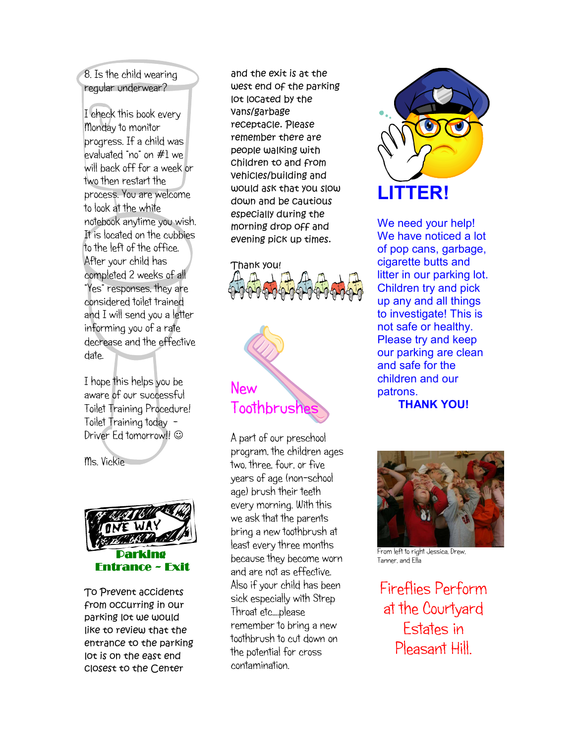## 8. Is the child wearing regular underwear?

I check this book every Monday to monitor progress. If a child was evaluated "no" on #1 we will back off for a week or two then restart the process. You are welcome to look at the white notebook anytime you wish. It is located on the cubbies to the left of the office. After your child has completed 2 weeks of all "Yes" responses, they are considered toilet trained and I will send you a letter informing you of a rate decrease and the effective date.

I hope this helps you be aware of our successful Toilet Training Procedure! Toilet Training today - Driver Ed tomorrow!! ©

Ms. Vickie



To Prevent accidents from occurring in our parking lot we would like to review that the entrance to the parking lot is on the east end closest to the Center

and the exit is at the west end of the parking lot located by the vans/garbage receptacle. Please remember there are people walking with children to and from vehicles/building and would ask that you slow down and be cautious especially during the morning drop off and evening pick up times.





A part of our preschool program, the children ages two, three, four, or five years of age (non-school age) brush their teeth every morning. With this we ask that the parents bring a new toothbrush at least every three months because they become worn and are not as effective. Also if your child has been sick especially with Strep Throat etc….please remember to bring a new toothbrush to cut down on the potential for cross contamination.



We need your help! We have noticed a lot of pop cans, garbage, cigarette butts and litter in our parking lot. Children try and pick up any and all things to investigate! This is not safe or healthy. Please try and keep our parking are clean and safe for the children and our patrons. THANK YOU!



From left to right Jessica, Drew, Tanner, and Ella

Fireflies Perform at the Courtyard Estates in Pleasant Hill.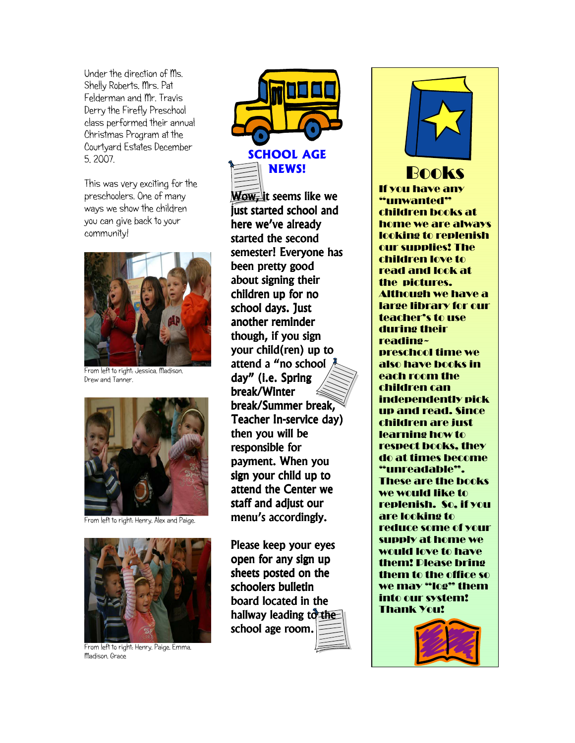Under the direction of Ms. Shelly Roberts, Mrs. Pat Felderman and Mr. Travis Derry the Firefly Preschool class performed their annual Christmas Program at the Courtyard Estates December 5, 2007.

This was very exciting for the preschoolers. One of many ways we show the children you can give back to your community!



From left to right: Jessica, Madison, Drew and Tanner.



From left to right: Henry, Alex and Paige.



From left to right: Henry, Paige, Emma, Madison, Grace



Wow, it seems like we just started school and here we've already started the second semester! Everyone has been pretty good about signing their children up for no school days. Just another reminder though, if you sign your child(ren) up to attend a "no school  $\lambda$ day" (i.e. Spring break/Winter break/Summer break, Teacher In-service day) then you will be responsible for payment. When you sign your child up to attend the Center we staff and adjust our menu's accordingly. menu's accordingly.

Please keep your eyes open for any sign up sheets posted on the schoolers bulletin board located in the hallway leading  $t\delta$  the school age room.



# **Books**

If you have any "unwanted" children books at home we are always looking to replenish our supplies! The children love to read and look at the pictures. Although we have a large library for our teacher's to use during their reading~ preschool time we also have books in each room the children can independently pick up and read. Since children are just learning how to respect books, they do at times become "unreadable". These are the books we would like to replenish. So, if you are looking to reduce some of your supply at home we would love to have them! Please bring them to the office so we may "log" them into our system! Thank You!

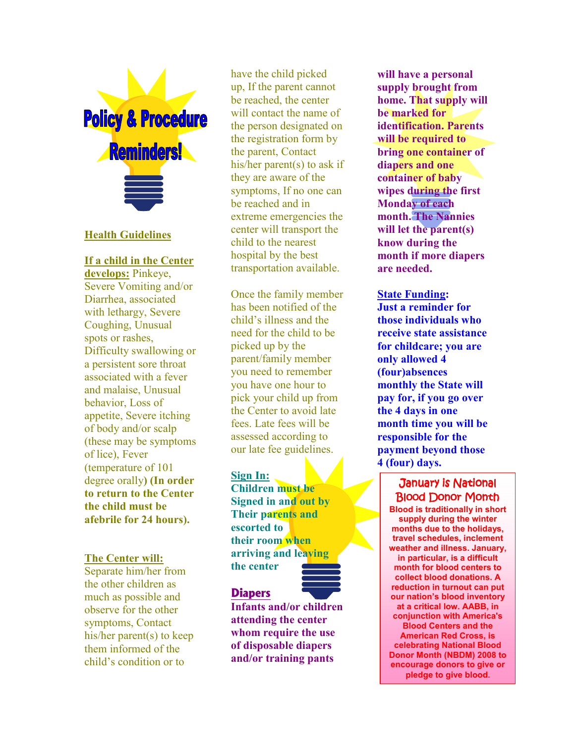

### Health Guidelines

#### If a child in the Center

develops: Pinkeye, Severe Vomiting and/or Diarrhea, associated with lethargy, Severe Coughing, Unusual spots or rashes, Difficulty swallowing or a persistent sore throat associated with a fever and malaise, Unusual behavior, Loss of appetite, Severe itching of body and/or scalp (these may be symptoms of lice), Fever (temperature of 101 degree orally) (In order to return to the Center the child must be afebrile for 24 hours).

#### The Center will:

Separate him/her from the other children as much as possible and observe for the other symptoms, Contact his/her parent(s) to keep them informed of the child's condition or to

have the child picked up, If the parent cannot be reached, the center will contact the name of the person designated on the registration form by the parent, Contact his/her parent(s) to ask if they are aware of the symptoms, If no one can be reached and in extreme emergencies the center will transport the child to the nearest hospital by the best transportation available.

Once the family member has been notified of the child's illness and the need for the child to be picked up by the parent/family member you need to remember you have one hour to pick your child up from the Center to avoid late fees. Late fees will be assessed according to our late fee guidelines.

#### Sign In:

Children must be Signed in and out by Their parents and escorted to their room when arriving and leaving the center

### **Diapers**



will have a personal supply brought from home. That supply will be marked for identification. Parents will be required to bring one container of diapers and one container of baby wipes during the first Monday of each month. The Nannies will let the parent(s) know during the month if more diapers are needed.

#### State Funding:

Just a reminder for those individuals who receive state assistance for childcare; you are only allowed 4 (four)absences monthly the State will pay for, if you go over the 4 days in one month time you will be responsible for the payment beyond those 4 (four) days.

## January is National Blood Donor Month

Blood is traditionally in short supply during the winter months due to the holidays, travel schedules, inclement weather and illness. January, in particular, is a difficult month for blood centers to collect blood donations. A reduction in turnout can put our nation's blood inventory at a critical low. AABB, in conjunction with America's Blood Centers and the American Red Cross, is celebrating National Blood Donor Month (NBDM) 2008 to encourage donors to give or pledge to give blood.